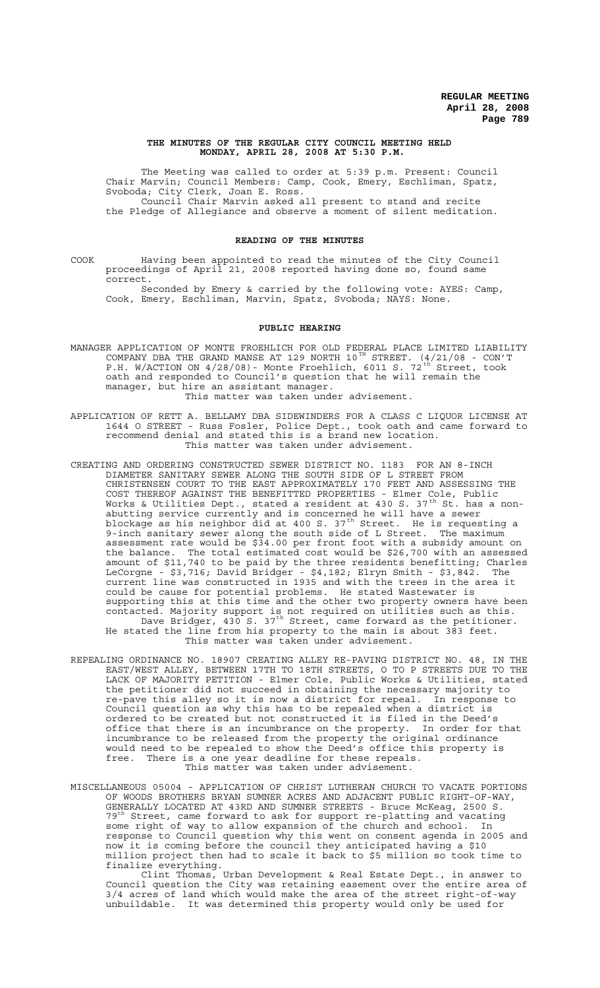#### **THE MINUTES OF THE REGULAR CITY COUNCIL MEETING HELD MONDAY, APRIL 28, 2008 AT 5:30 P.M.**

The Meeting was called to order at 5:39 p.m. Present: Council Chair Marvin; Council Members: Camp, Cook, Emery, Eschliman, Spatz, Svoboda; City Clerk, Joan E. Ross. Council Chair Marvin asked all present to stand and recite the Pledge of Allegiance and observe a moment of silent meditation.

#### **READING OF THE MINUTES**

COOK Having been appointed to read the minutes of the City Council proceedings of April 21, 2008 reported having done so, found same correct.

Seconded by Emery & carried by the following vote: AYES: Camp, Cook, Emery, Eschliman, Marvin, Spatz, Svoboda; NAYS: None.

#### **PUBLIC HEARING**

- MANAGER APPLICATION OF MONTE FROEHLICH FOR OLD FEDERAL PLACE LIMITED LIABILITY COMPANY DBA THE GRAND MANSE AT 129 NORTH  $10^{TH}$  STREET.  $(4/21/08$  - CON'T P.H. W/ACTION ON  $4/28/08$ ) - Monte Froehlich, 6011 S. 72<sup>th</sup> Street, took oath and responded to Council's question that he will remain the manager, but hire an assistant manager. This matter was taken under advisement.
- APPLICATION OF RETT A. BELLAMY DBA SIDEWINDERS FOR A CLASS C LIQUOR LICENSE AT 1644 O STREET - Russ Fosler, Police Dept., took oath and came forward to recommend denial and stated this is a brand new location. This matter was taken under advisement.
- CREATING AND ORDERING CONSTRUCTED SEWER DISTRICT NO. 1183 FOR AN 8-INCH DIAMETER SANITARY SEWER ALONG THE SOUTH SIDE OF L STREET FROM CHRISTENSEN COURT TO THE EAST APPROXIMATELY 170 FEET AND ASSESSING THE COST THEREOF AGAINST THE BENEFITTED PROPERTIES - Elmer Cole, Public Works & Utilities Dept., stated a resident at 430 S. 37<sup>th</sup> St. has a nonabutting service currently and is concerned he will have a sewer blockage as his neighbor  $\mathrm{did}$  at 400 S. 37<sup>th</sup> Street. He is requesting a 9-inch sanitary sewer along the south side of L Street. The maximum assessment rate would be \$34.00 per front foot with a subsidy amount on the balance. The total estimated cost would be \$26,700 with an assessed amount of \$11,740 to be paid by the three residents benefitting; Charles LeCorgne - \$3,716; David Bridger - \$4,182; Elryn Smith - \$3,842. The current line was constructed in 1935 and with the trees in the area it could be cause for potential problems. He stated Wastewater is supporting this at this time and the other two property owners have been contacted. Majority support is not required on utilities such as this. Dave Bridger, 430 S. 37<sup>th</sup> Street, came forward as the petitioner. He stated the line from his property to the main is about 383 feet. This matter was taken under advisement.
- REPEALING ORDINANCE NO. 18907 CREATING ALLEY RE-PAVING DISTRICT NO. 48, IN THE EAST/WEST ALLEY, BETWEEN 17TH TO 18TH STREETS, O TO P STREETS DUE TO THE LACK OF MAJORITY PETITION - Elmer Cole, Public Works & Utilities, stated the petitioner did not succeed in obtaining the necessary majority to re-pave this alley so it is now a district for repeal. In response to Council question as why this has to be repealed when a district is ordered to be created but not constructed it is filed in the Deed's<br>office that there is an incumbrance on the property. In order for that office that there is an incumbrance on the property. incumbrance to be released from the property the original ordinance would need to be repealed to show the Deed's office this property is free. There is a one year deadline for these repeals. This matter was taken under advisement.
- MISCELLANEOUS 05004 APPLICATION OF CHRIST LUTHERAN CHURCH TO VACATE PORTIONS OF WOODS BROTHERS BRYAN SUMNER ACRES AND ADJACENT PUBLIC RIGHT-OF-WAY, GENERALLY LOCATED AT 43RD AND SUMNER STREETS - Bruce McKeag, 2500 S. 79<sup>th</sup> Street, came forward to ask for support re-platting and vacating some right of way to allow expansion of the church and school. In response to Council question why this went on consent agenda in 2005 and now it is coming before the council they anticipated having a \$10 million project then had to scale it back to \$5 million so took time to finalize everything.

Clint Thomas, Urban Development & Real Estate Dept., in answer to Council question the City was retaining easement over the entire area of 3/4 acres of land which would make the area of the street right-of-way unbuildable. It was determined this property would only be used for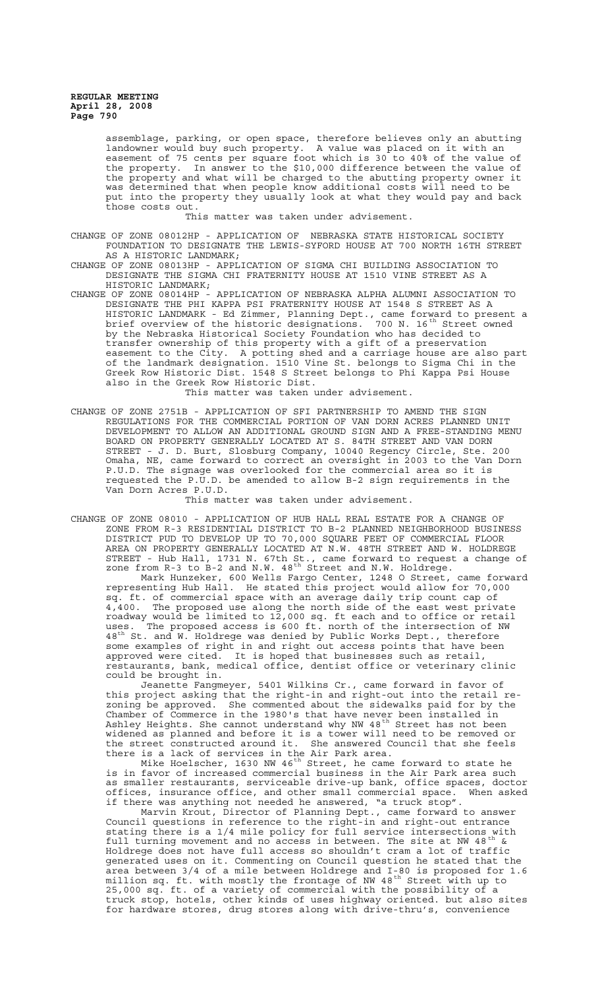assemblage, parking, or open space, therefore believes only an abutting landowner would buy such property. A value was placed on it with an easement of 75 cents per square foot which is 30 to 40% of the value of the property. In answer to the \$10,000 difference between the value of the property and what will be charged to the abutting property owner it was determined that when people know additional costs will need to be put into the property they usually look at what they would pay and back those costs out.

This matter was taken under advisement.

CHANGE OF ZONE 08012HP - APPLICATION OF NEBRASKA STATE HISTORICAL SOCIETY FOUNDATION TO DESIGNATE THE LEWIS-SYFORD HOUSE AT 700 NORTH 16TH STREET AS A HISTORIC LANDMARK;

CHANGE OF ZONE 08013HP - APPLICATION OF SIGMA CHI BUILDING ASSOCIATION TO DESIGNATE THE SIGMA CHI FRATERNITY HOUSE AT 1510 VINE STREET AS A HISTORIC LANDMARK;

CHANGE OF ZONE 08014HP - APPLICATION OF NEBRASKA ALPHA ALUMNI ASSOCIATION TO DESIGNATE THE PHI KAPPA PSI FRATERNITY HOUSE AT 1548 S STREET AS A HISTORIC LANDMARK - Ed Zimmer, Planning Dept., came forward to present a brief overview of the historic designations. <sup>700</sup> N. 16<sup>th</sup> Street owned brief overview of the historic designations. 700 N. 16<sup>th</sup> Street<br>by the Nebraska Historical Society Foundation who has decided to transfer ownership of this property with a gift of a preservation easement to the City. A potting shed and a carriage house are also part of the landmark designation. 1510 Vine St. belongs to Sigma Chi in the Greek Row Historic Dist. 1548 S Street belongs to Phi Kappa Psi House also in the Greek Row Historic Dist.

This matter was taken under advisement.

CHANGE OF ZONE 2751B - APPLICATION OF SFI PARTNERSHIP TO AMEND THE SIGN REGULATIONS FOR THE COMMERCIAL PORTION OF VAN DORN ACRES PLANNED UNIT DEVELOPMENT TO ALLOW AN ADDITIONAL GROUND SIGN AND A FREE-STANDING MENU BOARD ON PROPERTY GENERALLY LOCATED AT S. 84TH STREET AND VAN DORN STREET - J. D. Burt, Slosburg Company, 10040 Regency Circle, Ste. 200 Omaha, NE, came forward to correct an oversight in 2003 to the Van Dorn P.U.D. The signage was overlooked for the commercial area so it is requested the P.U.D. be amended to allow B-2 sign requirements in the Van Dorn Acres P.U.D.

This matter was taken under advisement.

CHANGE OF ZONE 08010 - APPLICATION OF HUB HALL REAL ESTATE FOR A CHANGE OF ZONE FROM R-3 RESIDENTIAL DISTRICT TO B-2 PLANNED NEIGHBORHOOD BUSINESS DISTRICT PUD TO DEVELOP UP TO 70,000 SQUARE FEET OF COMMERCIAL FLOOR AREA ON PROPERTY GENERALLY LOCATED AT N.W. 48TH STREET AND W. HOLDREGE STREET - Hub Hall, 1731 N. 67th St., came forward to request a change of zone from  $R-3$  to  $B-2$  and  $N.W.$  48<sup>th</sup> Street and  $N.W.$  Holdrege. Mark Hunzeker, 600 Wells Fargo Center, 1248 O Street, came forward representing Hub Hall. He stated this project would allow for 70,000 sq. ft. of commercial space with an average daily trip count cap of 4,400. The proposed use along the north side of the east west private roadway would be limited to 12,000 sq. ft each and to office or retail uses. The proposed access is 600 ft. north of the intersection of NW  $48^{\text{th}}$  St. and W. Holdrege was denied by Public Works Dept., therefore some examples of right in and right out access points that have been approved were cited. It is hoped that businesses such as retail, restaurants, bank, medical office, dentist office or veterinary clinic could be brought in.

Jeanette Fangmeyer, 5401 Wilkins Cr., came forward in favor of this project asking that the right-in and right-out into the retail rezoning be approved. She commented about the sidewalks paid for by the Chamber of Commerce in the 1980's that have never been installed in Ashley Heights. She cannot understand why NW 48 $^{\rm th}$  Street has not been widened as planned and before it is a tower will need to be removed or the street constructed around it. She answered Council that she feels there is a lack of services in the Air Park area.

Mike Hoelscher, 1630 NW 46 $^{\rm th}$  Street, he came forward to state he is in favor of increased commercial business in the Air Park area such as smaller restaurants, serviceable drive-up bank, office spaces, doctor offices, insurance office, and other small commercial space. When asked if there was anything not needed he answered, "a truck stop".

Marvin Krout, Director of Planning Dept., came forward to answer Council questions in reference to the right-in and right-out entrance stating there is a 1/4 mile policy for full service intersections with full turning movement and no access in between. The site at NW 48<sup>th</sup> & Holdrege does not have full access so shouldn't cram a lot of traffic generated uses on it. Commenting on Council question he stated that the area between 3/4 of a mile between Holdrege and I-80 is proposed for 1.6 million sq. ft. with mostly the frontage of NW 48<sup>th</sup> Street with up to 25,000 sq. ft. of a variety of commercial with the possibility of a truck stop, hotels, other kinds of uses highway oriented. but also sites for hardware stores, drug stores along with drive-thru's, convenience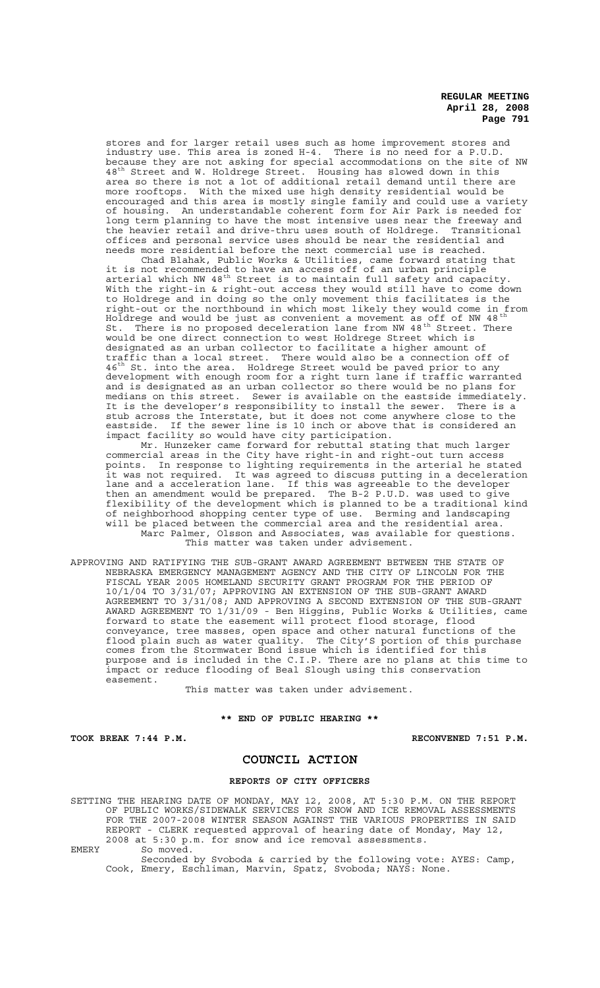stores and for larger retail uses such as home improvement stores and industry use. This area is zoned H-4. There is no need for a P.U.D. because they are not asking for special accommodations on the site of NW 48<sup>th</sup> Street and W. Holdrege Street. Housing has slowed down in this area so there is not a lot of additional retail demand until there are more rooftops. With the mixed use high density residential would be encouraged and this area is mostly single family and could use a variety of housing. An understandable coherent form for Air Park is needed for long term planning to have the most intensive uses near the freeway and the heavier retail and drive-thru uses south of Holdrege. Transitional offices and personal service uses should be near the residential and needs more residential before the next commercial use is reached.

Chad Blahak, Public Works & Utilities, came forward stating that it is not recommended to have an access off of an urban principle arterial which NW 48<sup>th</sup> Street is to maintain full safety and capacity. With the right-in & right-out access they would still have to come down to Holdrege and in doing so the only movement this facilitates is the right-out or the northbound in which most likely they would come in from Holdrege and would be just as convenient a movement as off of NW 48  $^{\rm th}$ St. There is no proposed deceleration lane from NW 48<sup>th</sup> Street. There would be one direct connection to west Holdrege Street which is designated as an urban collector to facilitate a higher amount of traffic than a local street. There would also be a connection off of  $46^{\text{th}}$  St. into the area. Holdrege Street would be paved prior to any development with enough room for a right turn lane if traffic warranted and is designated as an urban collector so there would be no plans for medians on this street. Sewer is available on the eastside immediately. It is the developer's responsibility to install the sewer. There is a stub across the Interstate, but it does not come anywhere close to the eastside. If the sewer line is 10 inch or above that is considered an impact facility so would have city participation.

Mr. Hunzeker came forward for rebuttal stating that much larger commercial areas in the City have right-in and right-out turn access points. In response to lighting requirements in the arterial he stated it was not required. It was agreed to discuss putting in a deceleration lane and a acceleration lane. If this was agreeable to the developer then an amendment would be prepared. The B-2 P.U.D. was used to give flexibility of the development which is planned to be a traditional kind of neighborhood shopping center type of use. Berming and landscaping will be placed between the commercial area and the residential area. Marc Palmer, Olsson and Associates, was available for questions. This matter was taken under advisement.

APPROVING AND RATIFYING THE SUB-GRANT AWARD AGREEMENT BETWEEN THE STATE OF NEBRASKA EMERGENCY MANAGEMENT AGENCY AND THE CITY OF LINCOLN FOR THE FISCAL YEAR 2005 HOMELAND SECURITY GRANT PROGRAM FOR THE PERIOD OF 10/1/04 TO 3/31/07; APPROVING AN EXTENSION OF THE SUB-GRANT AWARD AGREEMENT TO 3/31/08; AND APPROVING A SECOND EXTENSION OF THE SUB-GRANT AWARD AGREEMENT TO 1/31/09 - Ben Higgins, Public Works & Utilities, came forward to state the easement will protect flood storage, flood conveyance, tree masses, open space and other natural functions of the flood plain such as water quality. The City'S portion of this purchase comes from the Stormwater Bond issue which is identified for this purpose and is included in the C.I.P. There are no plans at this time to impact or reduce flooding of Beal Slough using this conservation easement.

This matter was taken under advisement.

#### **\*\* END OF PUBLIC HEARING \*\***

TOOK BREAK 7:44 P.M. **RECONVENED 7:51 P.M.** 

### **COUNCIL ACTION**

### **REPORTS OF CITY OFFICERS**

SETTING THE HEARING DATE OF MONDAY, MAY 12, 2008, AT 5:30 P.M. ON THE REPORT OF PUBLIC WORKS/SIDEWALK SERVICES FOR SNOW AND ICE REMOVAL ASSESSMENTS FOR THE 2007-2008 WINTER SEASON AGAINST THE VARIOUS PROPERTIES IN SAID<br>REPORT - CLERK requested approval of hearing date of Monday, May 12, CLERK requested approval of hearing date of Monday, May 12, 2008 at 5:30 p.m. for snow and ice removal assessments. EMERY So moved.

Seconded by Svoboda & carried by the following vote: AYES: Camp, Cook, Emery, Eschliman, Marvin, Spatz, Svoboda; NAYS: None.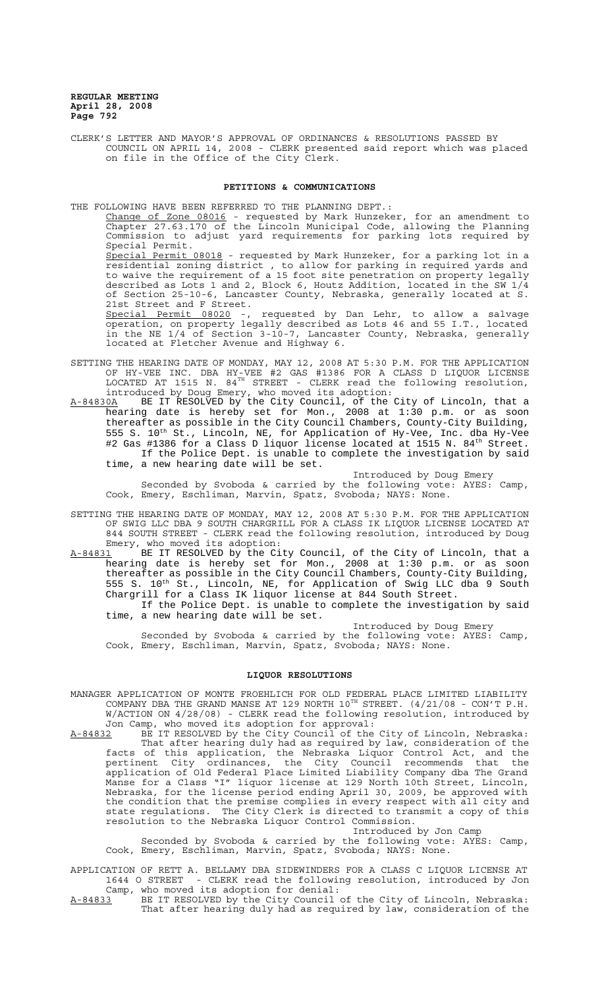CLERK'S LETTER AND MAYOR'S APPROVAL OF ORDINANCES & RESOLUTIONS PASSED BY COUNCIL ON APRIL 14, 2008 - CLERK presented said report which was placed on file in the Office of the City Clerk.

#### **PETITIONS & COMMUNICATIONS**

THE FOLLOWING HAVE BEEN REFERRED TO THE PLANNING DEPT.:

Change of Zone 08016 - requested by Mark Hunzeker, for an amendment to Chapter 27.63.170 of the Lincoln Municipal Code, allowing the Planning Commission to adjust yard requirements for parking lots required by Special Permit.

Special Permit 08018 - requested by Mark Hunzeker, for a parking lot in a residential zoning district , to allow for parking in required yards and to waive the requirement of a 15 foot site penetration on property legally described as Lots 1 and 2, Block 6, Houtz Addition, located in the SW 1/4  $\,$ of Section 25-10-6, Lancaster County, Nebraska, generally located at S. 21st Street and F Street.

Special Permit 08020 -, requested by Dan Lehr, to allow a salvage operation, on property legally described as Lots 46 and 55 I.T., located in the NE 1/4 of Section 3-10-7, Lancaster County, Nebraska, generally located at Fletcher Avenue and Highway 6.

- SETTING THE HEARING DATE OF MONDAY, MAY 12, 2008 AT 5:30 P.M. FOR THE APPLICATION OF HY-VEE INC. DBA HY-VEE #2 GAS #1386 FOR A CLASS D LIQUOR LICENSE LOCATED AT 1515 N.  $84^{TH}$  STREET - CLERK read the following resolution, introduced by Doug Emery, who moved its adoption:
- A-84830A BE IT RESOLVED by the City Council, of the City of Lincoln, that a hearing date is hereby set for Mon., 2008 at 1:30 p.m. or as soon thereafter as possible in the City Council Chambers, County-City Building, 555 S. 10<sup>th</sup> St., Lincoln, NE, for Application of Hy-Vee, Inc. dba Hy-Vee #2 Gas #1386 for a Class D liquor license located at 1515 N. 84<sup>th</sup> Street. If the Police Dept. is unable to complete the investigation by said time, a new hearing date will be set.

Introduced by Doug Emery

Seconded by Svoboda & carried by the following vote: AYES: Camp, Cook, Emery, Eschliman, Marvin, Spatz, Svoboda; NAYS: None.

- SETTING THE HEARING DATE OF MONDAY, MAY 12, 2008 AT 5:30 P.M. FOR THE APPLICATION OF SWIG LLC DBA 9 SOUTH CHARGRILL FOR A CLASS IK LIQUOR LICENSE LOCATED AT 844 SOUTH STREET - CLERK read the following resolution, introduced by Doug Emery, who moved its adoption:<br>A-84831 BE IT RESOLVED by the Ci
- BE IT RESOLVED by the City Council, of the City of Lincoln, that a hearing date is hereby set for Mon., 2008 at 1:30 p.m. or as soon thereafter as possible in the City Council Chambers, County-City Building, 555 S. 10<sup>th</sup> St., Lincoln, NE, for Application of Swig LLC dba 9 South Chargrill for a Class IK liquor license at 844 South Street. If the Police Dept. is unable to complete the investigation by said

time, a new hearing date will be set.

Introduced by Doug Emery

Seconded by Svoboda & carried by the following vote: AYES: Camp, Cook, Emery, Eschliman, Marvin, Spatz, Svoboda; NAYS: None.

## **LIQUOR RESOLUTIONS**

MANAGER APPLICATION OF MONTE FROEHLICH FOR OLD FEDERAL PLACE LIMITED LIABILITY COMPANY DBA THE GRAND MANSE AT 129 NORTH  $10^{TH}$  STREET.  $(4/21/08$  - CON'T P.H. W/ACTION ON 4/28/08) - CLERK read the following resolution, introduced by Jon Camp, who moved its adoption for approval:

A-84832 BE IT RESOLVED by the City Council of the City of Lincoln, Nebraska: That after hearing duly had as required by law, consideration of the facts of this application, the Nebraska Liquor Control Act, and the pertinent City ordinances, the City Council recommends that the application of Old Federal Place Limited Liability Company dba The Grand Manse for a Class "I" liquor license at 129 North 10th Street, Lincoln, Nebraska, for the license period ending April 30, 2009, be approved with the condition that the premise complies in every respect with all city and state regulations. The City Clerk is directed to transmit a copy of this resolution to the Nebraska Liquor Control Commission.

Introduced by Jon Camp

Seconded by Svoboda & carried by the following vote: AYES: Camp, Cook, Emery, Eschliman, Marvin, Spatz, Svoboda; NAYS: None.

APPLICATION OF RETT A. BELLAMY DBA SIDEWINDERS FOR A CLASS C LIQUOR LICENSE AT 1644 O STREET - CLERK read the following resolution, introduced by Jon Camp, who moved its adoption for denial:

A-84833 BE IT RESOLVED by the City Council of the City of Lincoln, Nebraska: That after hearing duly had as required by law, consideration of the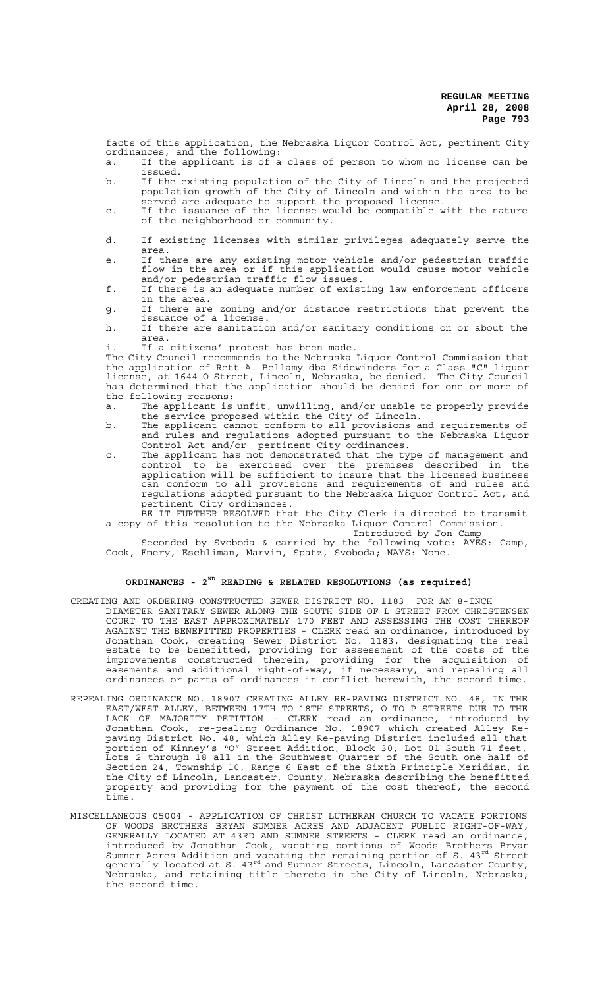facts of this application, the Nebraska Liquor Control Act, pertinent City ordinances, and the following:

- a. If the applicant is of a class of person to whom no license can be issued.
- b. If the existing population of the City of Lincoln and the projected population growth of the City of Lincoln and within the area to be served are adequate to support the proposed license.
- c. If the issuance of the license would be compatible with the nature of the neighborhood or community.
- d. If existing licenses with similar privileges adequately serve the area.
- e. If there are any existing motor vehicle and/or pedestrian traffic flow in the area or if this application would cause motor vehicle and/or pedestrian traffic flow issues.
- f. If there is an adequate number of existing law enforcement officers in the area.
- g. If there are zoning and/or distance restrictions that prevent the issuance of a license.
- h. If there are sanitation and/or sanitary conditions on or about the area.
- If a citizens' protest has been made.

The City Council recommends to the Nebraska Liquor Control Commission that the application of Rett A. Bellamy dba Sidewinders for a Class "C" liquor license, at 1644 O Street, Lincoln, Nebraska, be denied. The City Council has determined that the application should be denied for one or more of the following reasons:

- a. The applicant is unfit, unwilling, and/or unable to properly provide the service proposed within the City of Lincoln.
- b. The applicant cannot conform to all provisions and requirements of and rules and regulations adopted pursuant to the Nebraska Liquor Control Act and/or pertinent City ordinances.
- c. The applicant has not demonstrated that the type of management and control to be exercised over the premises described in the application will be sufficient to insure that the licensed business can conform to all provisions and requirements of and rules and regulations adopted pursuant to the Nebraska Liquor Control Act, and pertinent City ordinances.
- BE IT FURTHER RESOLVED that the City Clerk is directed to transmit a copy of this resolution to the Nebraska Liquor Control Commission.

Introduced by Jon Camp

Seconded by Svoboda & carried by the following vote: AYES: Camp, Cook, Emery, Eschliman, Marvin, Spatz, Svoboda; NAYS: None.

# **ORDINANCES - 2ND READING & RELATED RESOLUTIONS (as required)**

- CREATING AND ORDERING CONSTRUCTED SEWER DISTRICT NO. 1183 FOR AN 8-INCH DIAMETER SANITARY SEWER ALONG THE SOUTH SIDE OF L STREET FROM CHRISTENSEN COURT TO THE EAST APPROXIMATELY 170 FEET AND ASSESSING THE COST THEREOF AGAINST THE BENEFITTED PROPERTIES - CLERK read an ordinance, introduced by Jonathan Cook, creating Sewer District No. 1183, designating the real estate to be benefitted, providing for assessment of the costs of the improvements constructed therein, providing for the acquisition of easements and additional right-of-way, if necessary, and repealing all ordinances or parts of ordinances in conflict herewith, the second time.
- REPEALING ORDINANCE NO. 18907 CREATING ALLEY RE-PAVING DISTRICT NO. 48, IN THE EAST/WEST ALLEY, BETWEEN 17TH TO 18TH STREETS, O TO P STREETS DUE TO THE LACK OF MAJORITY PETITION - CLERK read an ordinance, introduced by Jonathan Cook, re-pealing Ordinance No. 18907 which created Alley Repaving District No. 48, which Alley Re-paving District included all that portion of Kinney's "O" Street Addition, Block 30, Lot 01 South 71 feet, Lots 2 through 18 all in the Southwest Quarter of the South one half of Section 24, Township 10, Range 6 East of the Sixth Principle Meridian, in the City of Lincoln, Lancaster, County, Nebraska describing the benefitted property and providing for the payment of the cost thereof, the second time.
- MISCELLANEOUS 05004 APPLICATION OF CHRIST LUTHERAN CHURCH TO VACATE PORTIONS OF WOODS BROTHERS BRYAN SUMNER ACRES AND ADJACENT PUBLIC RIGHT-OF-WAY, GENERALLY LOCATED AT 43RD AND SUMNER STREETS - CLERK read an ordinance, introduced by Jonathan Cook, vacating portions of Woods Brothers Bryan Sumner Acres Addition and vacating the remaining portion of S.  $43^{rd}$  Street generally located at S. 43<sup>rd</sup> and Sumner Streets, Lincoln, Lancaster County, Nebraska, and retaining title thereto in the City of Lincoln, Nebraska, the second time.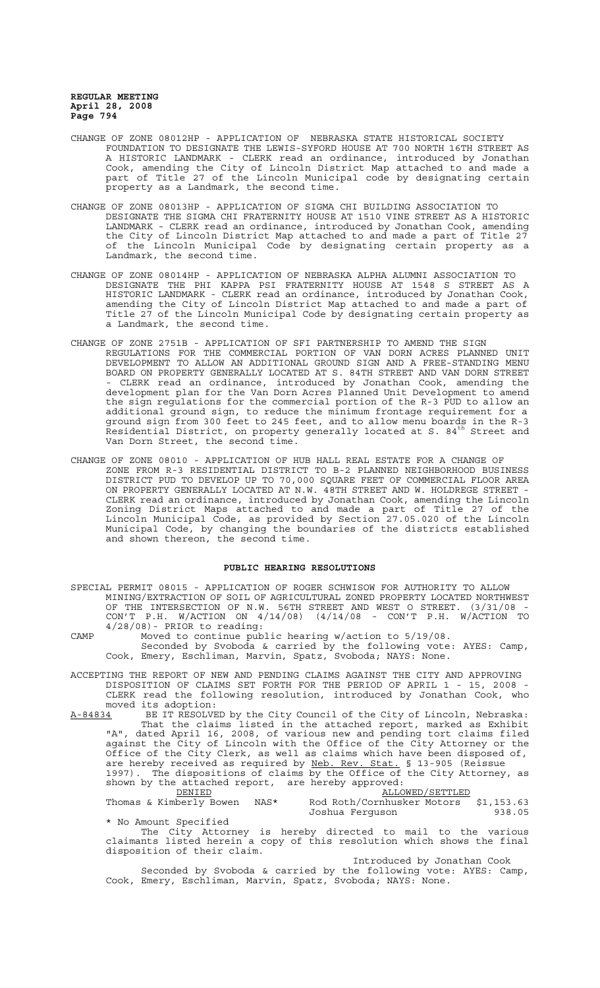- CHANGE OF ZONE 08012HP APPLICATION OF NEBRASKA STATE HISTORICAL SOCIETY FOUNDATION TO DESIGNATE THE LEWIS-SYFORD HOUSE AT 700 NORTH 16TH STREET AS A HISTORIC LANDMARK - CLERK read an ordinance, introduced by Jonathan Cook, amending the City of Lincoln District Map attached to and made a part of Title 27 of the Lincoln Municipal code by designating certain property as a Landmark, the second time.
- CHANGE OF ZONE 08013HP APPLICATION OF SIGMA CHI BUILDING ASSOCIATION TO DESIGNATE THE SIGMA CHI FRATERNITY HOUSE AT 1510 VINE STREET AS A HISTORIC LANDMARK - CLERK read an ordinance, introduced by Jonathan Cook, amending the City of Lincoln District Map attached to and made a part of Title 27 of the Lincoln Municipal Code by designating certain property as a Landmark, the second time.
- CHANGE OF ZONE 08014HP APPLICATION OF NEBRASKA ALPHA ALUMNI ASSOCIATION TO DESIGNATE THE PHI KAPPA PSI FRATERNITY HOUSE AT 1548 S STREET AS A HISTORIC LANDMARK - CLERK read an ordinance, introduced by Jonathan Cook, amending the City of Lincoln District Map attached to and made a part of Title 27 of the Lincoln Municipal Code by designating certain property as a Landmark, the second time.
- CHANGE OF ZONE 2751B APPLICATION OF SFI PARTNERSHIP TO AMEND THE SIGN REGULATIONS FOR THE COMMERCIAL PORTION OF VAN DORN ACRES PLANNED UNIT DEVELOPMENT TO ALLOW AN ADDITIONAL GROUND SIGN AND A FREE-STANDING MENU BOARD ON PROPERTY GENERALLY LOCATED AT S. 84TH STREET AND VAN DORN STREET - CLERK read an ordinance, introduced by Jonathan Cook, amending the development plan for the Van Dorn Acres Planned Unit Development to amend the sign regulations for the commercial portion of the R-3 PUD to allow an additional ground sign, to reduce the minimum frontage requirement for a ground sign from 300 feet to 245 feet, and to allow menu boards in the R-3 Residential District, on property generally located at S. 84th Street and Van Dorn Street, the second time.
- CHANGE OF ZONE 08010 APPLICATION OF HUB HALL REAL ESTATE FOR A CHANGE OF ZONE FROM R-3 RESIDENTIAL DISTRICT TO B-2 PLANNED NEIGHBORHOOD BUSINESS DISTRICT PUD TO DEVELOP UP TO 70,000 SQUARE FEET OF COMMERCIAL FLOOR AREA ON PROPERTY GENERALLY LOCATED AT N.W. 48TH STREET AND W. HOLDREGE STREET - CLERK read an ordinance, introduced by Jonathan Cook, amending the Lincoln Zoning District Maps attached to and made a part of Title 27 of the Lincoln Municipal Code, as provided by Section 27.05.020 of the Lincoln Municipal Code, by changing the boundaries of the districts established and shown thereon, the second time.

### **PUBLIC HEARING RESOLUTIONS**

SPECIAL PERMIT 08015 - APPLICATION OF ROGER SCHWISOW FOR AUTHORITY TO ALLOW MINING/EXTRACTION OF SOIL OF AGRICULTURAL ZONED PROPERTY LOCATED NORTHWEST OF THE INTERSECTION OF N.W. 56TH STREET AND WEST O STREET. (3/31/08 - CON'T P.H. W/ACTION ON 4/14/08) (4/14/08 - CON'T P.H. W/ACTION TO  $4/28/08$  - PRIOR to reading:

CAMP Moved to continue public hearing w/action to 5/19/08. Seconded by Svoboda & carried by the following vote: AYES: Camp, Cook, Emery, Eschliman, Marvin, Spatz, Svoboda; NAYS: None.

ACCEPTING THE REPORT OF NEW AND PENDING CLAIMS AGAINST THE CITY AND APPROVING DISPOSITION OF CLAIMS SET FORTH FOR THE PERIOD OF APRIL 1 - 15, 2008 - CLERK read the following resolution, introduced by Jonathan Cook, who

moved its adoption:<br>A-8<u>4834</u> BE IT RESOLVE A-84834 BE IT RESOLVED by the City Council of the City of Lincoln, Nebraska: That the claims listed in the attached report, marked as Exhibit "A", dated April 16, 2008, of various new and pending tort claims filed against the City of Lincoln with the Office of the City Attorney or the Office of the City Clerk, as well as claims which have been disposed of, are hereby received as required by Neb. Rev. Stat. § 13-905 (Reissue 1997). The dispositions of claims by the Office of the City Attorney, as shown by the attached report, are hereby approved:

 $\underbrace{\mathtt{ALLOWED}/\mathtt{SETTLED}}_\text{Rod Roth/Cornhusker Motors}$ Thomas & Kimberly Bowen NAS\* Rod Roth/Cornhusker Motors \$1,153.63<br>1938.05 Toshua Ferguson Joshua Ferguson

\* No Amount Specified The City Attorney is hereby directed to mail to the various claimants listed herein a copy of this resolution which shows the final disposition of their claim.

Introduced by Jonathan Cook Seconded by Svoboda & carried by the following vote: AYES: Camp, Cook, Emery, Eschliman, Marvin, Spatz, Svoboda; NAYS: None.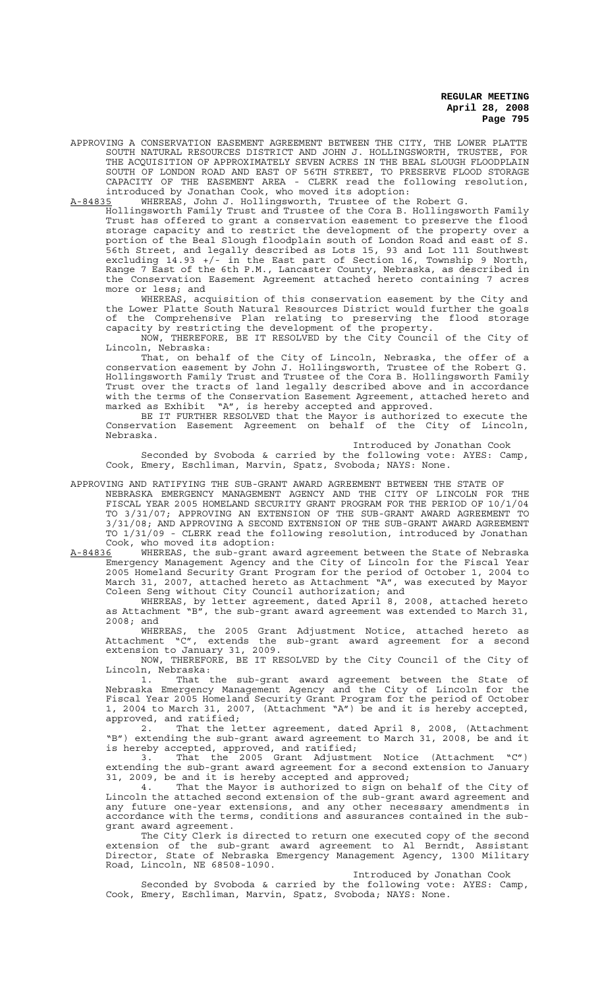APPROVING A CONSERVATION EASEMENT AGREEMENT BETWEEN THE CITY, THE LOWER PLATTE SOUTH NATURAL RESOURCES DISTRICT AND JOHN J. HOLLINGSWORTH, TRUSTEE, FOR THE ACQUISITION OF APPROXIMATELY SEVEN ACRES IN THE BEAL SLOUGH FLOODPLAIN SOUTH OF LONDON ROAD AND EAST OF 56TH STREET, TO PRESERVE FLOOD STORAGE CAPACITY OF THE EASEMENT AREA - CLERK read the following resolution, introduced by Jonathan Cook, who moved its adoption:

A-84835 WHEREAS, John J. Hollingsworth, Trustee of the Robert G.

Hollingsworth Family Trust and Trustee of the Cora B. Hollingsworth Family Trust has offered to grant a conservation easement to preserve the flood storage capacity and to restrict the development of the property over a portion of the Beal Slough floodplain south of London Road and east of S. .<br>56th Street, and legally described as Lots 15, 93 and Lot 111 Southwest excluding 14.93 +/- in the East part of Section 16, Township 9 North, Range 7 East of the 6th P.M., Lancaster County, Nebraska, as described in the Conservation Easement Agreement attached hereto containing 7 acres more or less; and

WHEREAS, acquisition of this conservation easement by the City and the Lower Platte South Natural Resources District would further the goals of the Comprehensive Plan relating to preserving the flood storage capacity by restricting the development of the property.

NOW, THEREFORE, BE IT RESOLVED by the City Council of the City of Lincoln, Nebraska:

That, on behalf of the City of Lincoln, Nebraska, the offer of a conservation easement by John J. Hollingsworth, Trustee of the Robert G. Hollingsworth Family Trust and Trustee of the Cora B. Hollingsworth Family Trust over the tracts of land legally described above and in accordance with the terms of the Conservation Easement Agreement, attached hereto and marked as Exhibit "A", is hereby accepted and approved.

BE IT FURTHER RESOLVED that the Mayor is authorized to execute the Conservation Easement Agreement on behalf of the City of Lincoln, Nebraska.

Introduced by Jonathan Cook

Seconded by Svoboda & carried by the following vote: AYES: Camp, Cook, Emery, Eschliman, Marvin, Spatz, Svoboda; NAYS: None.

APPROVING AND RATIFYING THE SUB-GRANT AWARD AGREEMENT BETWEEN THE STATE OF NEBRASKA EMERGENCY MANAGEMENT AGENCY AND THE CITY OF LINCOLN FOR THE FISCAL YEAR 2005 HOMELAND SECURITY GRANT PROGRAM FOR THE PERIOD OF 10/1/04 TO 3/31/07; APPROVING AN EXTENSION OF THE SUB-GRANT AWARD AGREEMENT TO 3/31/08; AND APPROVING A SECOND EXTENSION OF THE SUB-GRANT AWARD AGREEMENT TO 1/31/09 - CLERK read the following resolution, introduced by Jonathan

Cook, who moved its adoption:<br>A-84836 WHEREAS, the sub-grant a WHEREAS, the sub-grant award agreement between the State of Nebraska Emergency Management Agency and the City of Lincoln for the Fiscal Year 2005 Homeland Security Grant Program for the period of October 1, 2004 to March 31, 2007, attached hereto as Attachment "A", was executed by Mayor Coleen Seng without City Council authorization; and

WHEREAS, by letter agreement, dated April 8, 2008, attached hereto as Attachment "B", the sub-grant award agreement was extended to March 31, 2008; and

WHEREAS, the 2005 Grant Adjustment Notice, attached hereto as Attachment "C", extends the sub-grant award agreement for a second extension to January 31, 2009.

NOW, THEREFORE, BE IT RESOLVED by the City Council of the City of Lincoln, Nebraska:

1. That the sub-grant award agreement between the State of Nebraska Emergency Management Agency and the City of Lincoln for the Fiscal Year 2005 Homeland Security Grant Program for the period of October 1, 2004 to March 31, 2007, (Attachment "A") be and it is hereby accepted, approved, and ratified;

2. That the letter agreement, dated April 8, 2008, (Attachment "B") extending the sub-grant award agreement to March 31, 2008, be and it is hereby accepted, approved, and ratified;

3. That the 2005 Grant Adjustment Notice (Attachment "C") extending the sub-grant award agreement for a second extension to January 31, 2009, be and it is hereby accepted and approved;

4. That the Mayor is authorized to sign on behalf of the City of Lincoln the attached second extension of the sub-grant award agreement and any future one-year extensions, and any other necessary amendments in accordance with the terms, conditions and assurances contained in the subgrant award agreement.

The City Clerk is directed to return one executed copy of the second extension of the sub-grant award agreement to Al Berndt, Assistant Director, State of Nebraska Emergency Management Agency, 1300 Military Road, Lincoln, NE 68508-1090.

Introduced by Jonathan Cook

Seconded by Svoboda & carried by the following vote: AYES: Camp, Cook, Emery, Eschliman, Marvin, Spatz, Svoboda; NAYS: None.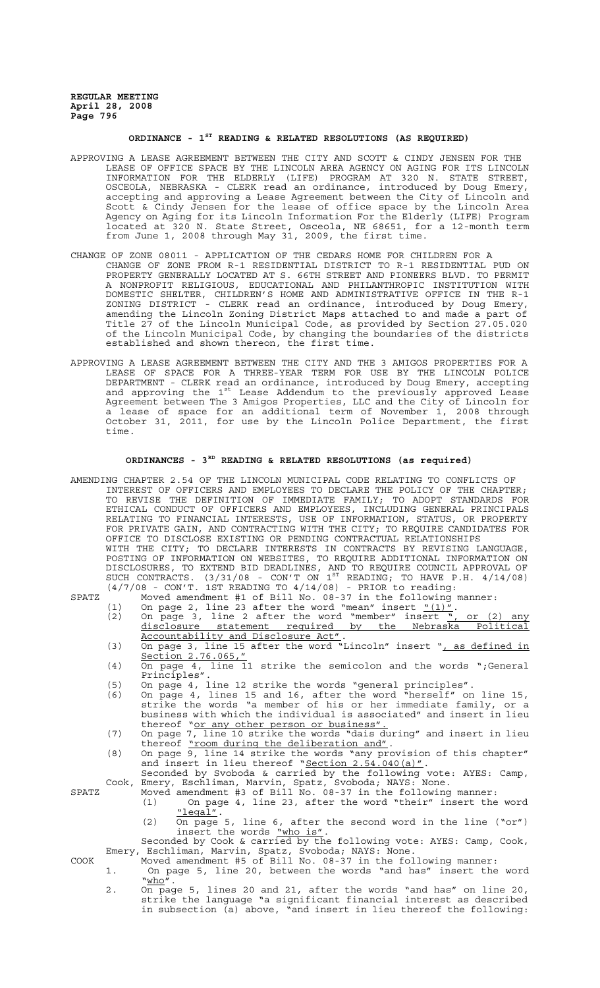# **ORDINANCE - 1ST READING & RELATED RESOLUTIONS (AS REQUIRED)**

- APPROVING A LEASE AGREEMENT BETWEEN THE CITY AND SCOTT & CINDY JENSEN FOR THE LEASE OF OFFICE SPACE BY THE LINCOLN AREA AGENCY ON AGING FOR ITS LINCOLN INFORMATION FOR THE ELDERLY (LIFE) PROGRAM AT 320 N. STATE STREET, OSCEOLA, NEBRASKA - CLERK read an ordinance, introduced by Doug Emery, accepting and approving a Lease Agreement between the City of Lincoln and Scott & Cindy Jensen for the lease of office space by the Lincoln Area Agency on Aging for its Lincoln Information For the Elderly (LIFE) Program located at 320 N. State Street, Osceola, NE 68651, for a 12-month term from June 1, 2008 through May 31, 2009, the first time.
- CHANGE OF ZONE 08011 APPLICATION OF THE CEDARS HOME FOR CHILDREN FOR A CHANGE OF ZONE FROM R-1 RESIDENTIAL DISTRICT TO R-1 RESIDENTIAL PUD ON PROPERTY GENERALLY LOCATED AT S. 66TH STREET AND PIONEERS BLVD. TO PERMIT A NONPROFIT RELIGIOUS, EDUCATIONAL AND PHILANTHROPIC INSTITUTION WITH DOMESTIC SHELTER, CHILDREN'S HOME AND ADMINISTRATIVE OFFICE IN THE R-1 ZONING DISTRICT - CLERK read an ordinance, introduced by Doug Emery, amending the Lincoln Zoning District Maps attached to and made a part of Title 27 of the Lincoln Municipal Code, as provided by Section 27.05.020 of the Lincoln Municipal Code, by changing the boundaries of the districts established and shown thereon, the first time.
- APPROVING A LEASE AGREEMENT BETWEEN THE CITY AND THE 3 AMIGOS PROPERTIES FOR A LEASE OF SPACE FOR A THREE-YEAR TERM FOR USE BY THE LINCOLN POLICE DEPARTMENT - CLERK read an ordinance, introduced by Doug Emery, accepting and approving the 1st Lease Addendum to the previously approved Lease Agreement between The 3 Amigos Properties, LLC and the City of Lincoln for a lease of space for an additional term of November 1, 2008 through October 31, 2011, for use by the Lincoln Police Department, the first time.

# **ORDINANCES - 3RD READING & RELATED RESOLUTIONS (as required)**

AMENDING CHAPTER 2.54 OF THE LINCOLN MUNICIPAL CODE RELATING TO CONFLICTS OF INTEREST OF OFFICERS AND EMPLOYEES TO DECLARE THE POLICY OF THE CHAPTER; TO REVISE THE DEFINITION OF IMMEDIATE FAMILY; TO ADOPT STANDARDS FOR ETHICAL CONDUCT OF OFFICERS AND EMPLOYEES, INCLUDING GENERAL PRINCIPALS RELATING TO FINANCIAL INTERESTS, USE OF INFORMATION, STATUS, OR PROPERTY FOR PRIVATE GAIN, AND CONTRACTING WITH THE CITY; TO REQUIRE CANDIDATES FOR OFFICE TO DISCLOSE EXISTING OR PENDING CONTRACTUAL RELATIONSHIPS WITH THE CITY; TO DECLARE INTERESTS IN CONTRACTS BY REVISING LANGUAGE, POSTING OF INFORMATION ON WEBSITES, TO REQUIRE ADDITIONAL INFORMATION ON DISCLOSURES, TO EXTEND BID DEADLINES, AND TO REQUIRE COUNCIL APPROVAL OF SUCH CONTRACTS.  $(3/31/08$  - CON'T ON  $1^{ST}$  READING; TO HAVE P.H.  $4/14/08$ )  $(4/7/08$  - CON'T. 1ST READING TO  $4/14/08$ ) - PRIOR to reading:

- SPATZ Moved amendment #1 of Bill No. 08-37 in the following manner: (1) On page 2, line 23 after the word "mean" insert  $\frac{N(1)''}{N}$ .<br>(2) On page 3, line 2 after the word "member" insert  $\frac{N}{N}$ , or (2) any
	- disclosure statement required by the Nebraska Political Accountability and Disclosure Act".<br>(3) On page 3, line 15 after the word "Lincoln" insert ", as defined in
	- Section 2.76.065,"
	- (4) On page 4, line 11 strike the semicolon and the words ";General Principles".
	- (5) On page 4, line 12 strike the words "general principles".
	- (6) On page 4, lines 15 and 16, after the word "herself" on line 15, strike the words "a member of his or her immediate family, or a business with which the individual is associated" and insert in lieu thereof "or any other person or business"
	- (7) On page 7, line 10 strike the words "dais during" and insert in lieu thereof "room during the deliberation and".
	- (8) On page 9, line 14 strike the words "any provision of this chapter" and insert in lieu thereof "Section 2.54.040(a)".
	- Seconded by Svoboda & carried by the following vote: AYES: Camp, Cook, Emery, Eschliman, Marvin, Spatz, Svoboda; NAYS: None.

- SPATZ Moved amendment #3 of Bill No. 08-37 in the following manner: (1) On page 4, line 23, after the word "their" insert the word "legal".
	- (2) On page 5, line 6, after the second word in the line ("or") insert the words "who is".
- Seconded by Cook & carried by the following vote: AYES: Camp, Cook, Emery, Eschliman, Marvin, Spatz, Svoboda; NAYS: None. COOK Moved amendment #5 of Bill No. 08-37 in the following manner:
	- 1. On page 5, line 20, between the words "and has" insert the word  $"\underline{\text{who}}''$ .
		- 2. On page 5, lines 20 and 21, after the words "and has" on line 20, strike the language "a significant financial interest as described in subsection (a) above, "and insert in lieu thereof the following: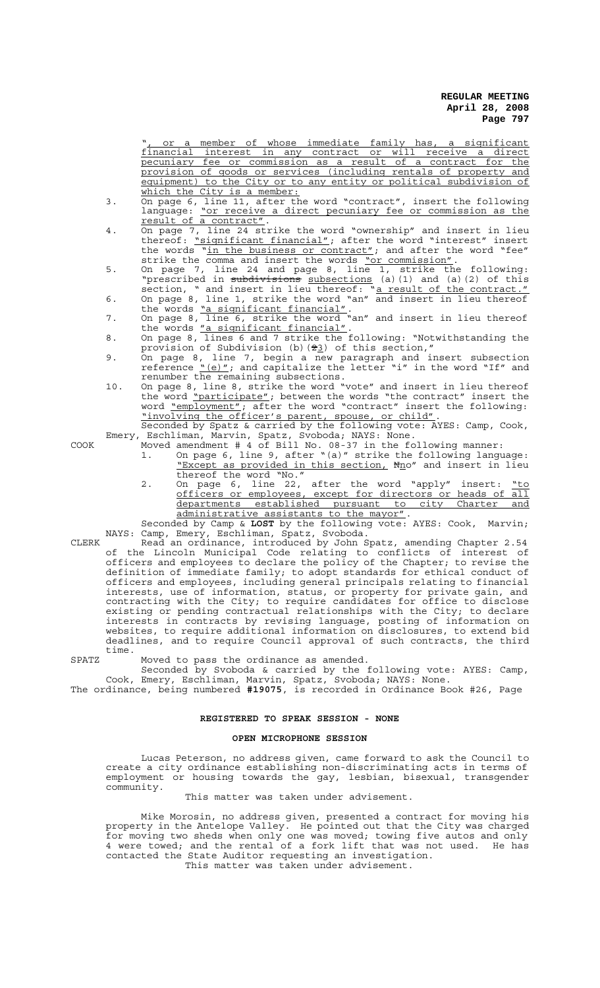", or a member of whose immediate family has, a significant financial interest in any contract or will receive a direct pecuniary fee or commission as a result of a contract for the provision of goods or services (including rentals of property and equipment) to the City or to any entity or political subdivision of which the City is a member:

- 3. On page 6, line 11, after the word "contract", insert the following language: <u>"or receive a direct pecuniary fee or commission as the</u> result of a contract".
- 4. On page 7, line 24 strike the word "ownership" and insert in lieu thereof: <u>"siqnificant financial"</u>; after the word "interest" insert the words "in the business or contract"; and after the word "fee" strike the comma and insert the words "or commission".
- 5. On page 7, line 24 and page 8, line 1, strike the following: "prescribed in subdivisions subsections (a)(1) and (a)(2) of this section, " and insert in lieu thereof: "a result of the contract."
- 6. On page 8, line 1, strike the word "an" and insert in lieu thereof the words "a significant financial".
- 7. On page 8, line 6, strike the word "an" and insert in lieu thereof the words "a significant financial".
- 8. On page 8, lines 6 and 7 strike the following: "Notwithstanding the provision of Subdivision (b)  $(23)$  of this section,"
- 9. On page 8, line 7, begin a new paragraph and insert subsection reference "(e)"; and capitalize the letter "i" in the word "If" and renumber the remaining subsections.
- 10. On page 8, line 8, strike the word "vote" and insert in lieu thereof the word "participate"; between the words "the contract" insert the word <u>"employment"</u>; after the word "contract" insert the following: "involving the officer's parent, spouse, or child".

Seconded by Spatz & carried by the following vote: AYES: Camp, Cook, Emery, Eschliman, Marvin, Spatz, Svoboda; NAYS: None.

- COOK Moved amendment # 4 of Bill No. 08-37 in the following manner:
	- 1. On page 6, line 9, after "(a)" strike the following language: "Except as provided in this section, Nno" and insert in lieu thereof the word "No."
	- 2. On page 6, line 22, after the word "apply" insert: "to officers or employees, except for directors or heads of all departments established pursuant to city Charter and administrative assistants to the mayor".

Seconded by Camp & **LOST** by the following vote: AYES: Cook, Marvin; NAYS: Camp, Emery, Eschliman, Spatz, Svoboda.

CLERK Read an ordinance, introduced by John Spatz, amending Chapter 2.54 of the Lincoln Municipal Code relating to conflicts of interest of officers and employees to declare the policy of the Chapter; to revise the definition of immediate family; to adopt standards for ethical conduct of officers and employees, including general principals relating to financial interests, use of information, status, or property for private gain, and contracting with the City; to require candidates for office to disclose existing or pending contractual relationships with the City; to declare interests in contracts by revising language, posting of information on websites, to require additional information on disclosures, to extend bid deadlines, and to require Council approval of such contracts, the third time.

SPATZ Moved to pass the ordinance as amended.

Seconded by Svoboda & carried by the following vote: AYES: Camp, Cook, Emery, Eschliman, Marvin, Spatz, Svoboda; NAYS: None.

The ordinance, being numbered **#19075**, is recorded in Ordinance Book #26, Page

## **REGISTERED TO SPEAK SESSION - NONE**

### **OPEN MICROPHONE SESSION**

Lucas Peterson, no address given, came forward to ask the Council to create a city ordinance establishing non-discriminating acts in terms of employment or housing towards the gay, lesbian, bisexual, transgender community.

# This matter was taken under advisement.

Mike Morosin, no address given, presented a contract for moving his property in the Antelope Valley. He pointed out that the City was charged for moving two sheds when only one was moved; towing five autos and only 4 were towed; and the rental of a fork lift that was not used. He has contacted the State Auditor requesting an investigation. This matter was taken under advisement.